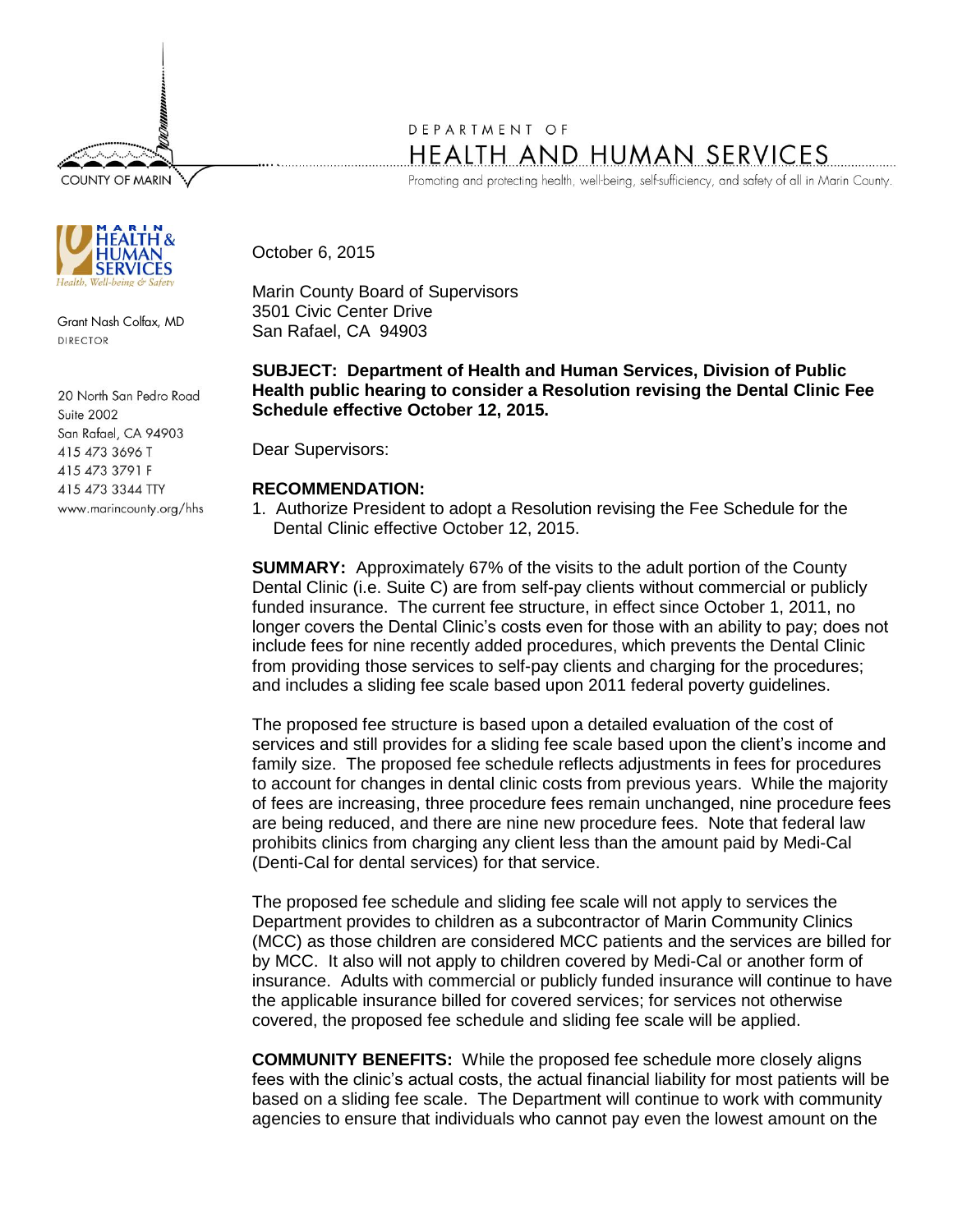**COUNTY OF MARIN** 



Grant Nash Colfax, MD DIRECTOR

20 North San Pedro Road Suite 2002 San Rafael, CA 94903 415 473 3696 T 415 473 3791 F 415 473 3344 TTY www.marincounty.org/hhs

## DEPARTMENT OF HEALTH AND HUMAN SERVICES

Promoting and protecting health, well-being, self-sufficiency, and safety of all in Marin County.

October 6, 2015

Marin County Board of Supervisors 3501 Civic Center Drive San Rafael, CA 94903

**SUBJECT: Department of Health and Human Services, Division of Public Health public hearing to consider a Resolution revising the Dental Clinic Fee Schedule effective October 12, 2015.**

Dear Supervisors:

## **RECOMMENDATION:**

1. Authorize President to adopt a Resolution revising the Fee Schedule for the Dental Clinic effective October 12, 2015.

**SUMMARY:** Approximately 67% of the visits to the adult portion of the County Dental Clinic (i.e. Suite C) are from self-pay clients without commercial or publicly funded insurance. The current fee structure, in effect since October 1, 2011, no longer covers the Dental Clinic's costs even for those with an ability to pay; does not include fees for nine recently added procedures, which prevents the Dental Clinic from providing those services to self-pay clients and charging for the procedures; and includes a sliding fee scale based upon 2011 federal poverty guidelines.

The proposed fee structure is based upon a detailed evaluation of the cost of services and still provides for a sliding fee scale based upon the client's income and family size. The proposed fee schedule reflects adjustments in fees for procedures to account for changes in dental clinic costs from previous years. While the majority of fees are increasing, three procedure fees remain unchanged, nine procedure fees are being reduced, and there are nine new procedure fees. Note that federal law prohibits clinics from charging any client less than the amount paid by Medi-Cal (Denti-Cal for dental services) for that service.

The proposed fee schedule and sliding fee scale will not apply to services the Department provides to children as a subcontractor of Marin Community Clinics (MCC) as those children are considered MCC patients and the services are billed for by MCC. It also will not apply to children covered by Medi-Cal or another form of insurance. Adults with commercial or publicly funded insurance will continue to have the applicable insurance billed for covered services; for services not otherwise covered, the proposed fee schedule and sliding fee scale will be applied.

**COMMUNITY BENEFITS:** While the proposed fee schedule more closely aligns fees with the clinic's actual costs, the actual financial liability for most patients will be based on a sliding fee scale. The Department will continue to work with community agencies to ensure that individuals who cannot pay even the lowest amount on the